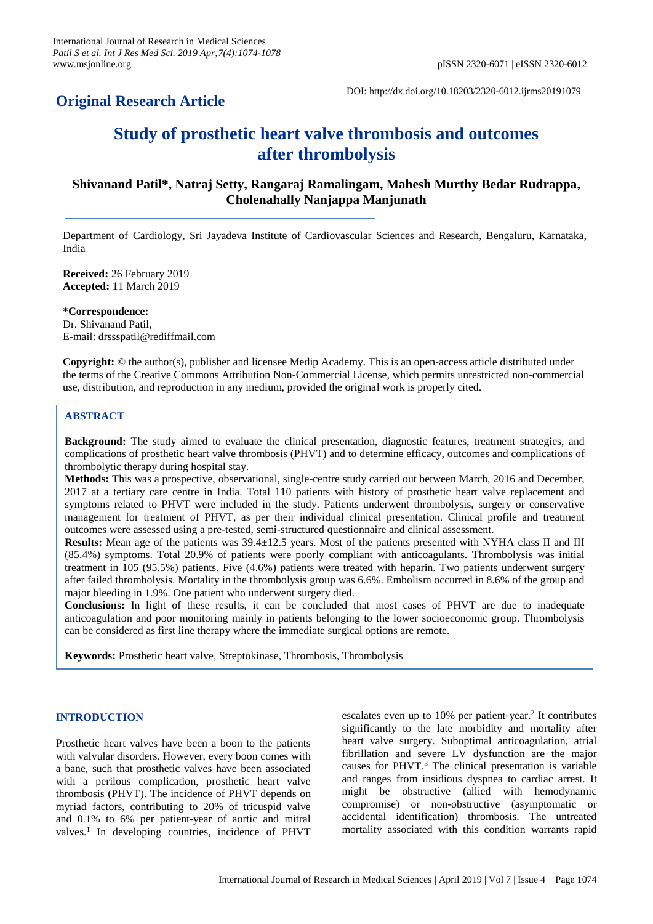DOI: http://dx.doi.org/10.18203/2320-6012.ijrms20191079

# **Study of prosthetic heart valve thrombosis and outcomes after thrombolysis**

## **Shivanand Patil\*, Natraj Setty, Rangaraj Ramalingam, Mahesh Murthy Bedar Rudrappa, Cholenahally Nanjappa Manjunath**

Department of Cardiology, Sri Jayadeva Institute of Cardiovascular Sciences and Research, Bengaluru, Karnataka, India

**Received:** 26 February 2019 **Accepted:** 11 March 2019

**\*Correspondence:** Dr. Shivanand Patil, E-mail: drssspatil@rediffmail.com

**Copyright:** © the author(s), publisher and licensee Medip Academy. This is an open-access article distributed under the terms of the Creative Commons Attribution Non-Commercial License, which permits unrestricted non-commercial use, distribution, and reproduction in any medium, provided the original work is properly cited.

## **ABSTRACT**

**Background:** The study aimed to evaluate the clinical presentation, diagnostic features, treatment strategies, and complications of prosthetic heart valve thrombosis (PHVT) and to determine efficacy, outcomes and complications of thrombolytic therapy during hospital stay.

**Methods:** This was a prospective, observational, single-centre study carried out between March, 2016 and December, 2017 at a tertiary care centre in India. Total 110 patients with history of prosthetic heart valve replacement and symptoms related to PHVT were included in the study. Patients underwent thrombolysis, surgery or conservative management for treatment of PHVT, as per their individual clinical presentation. Clinical profile and treatment outcomes were assessed using a pre-tested, semi-structured questionnaire and clinical assessment.

**Results:** Mean age of the patients was 39.4±12.5 years. Most of the patients presented with NYHA class II and III (85.4%) symptoms. Total 20.9% of patients were poorly compliant with anticoagulants. Thrombolysis was initial treatment in 105 (95.5%) patients. Five (4.6%) patients were treated with heparin. Two patients underwent surgery after failed thrombolysis. Mortality in the thrombolysis group was 6.6%. Embolism occurred in 8.6% of the group and major bleeding in 1.9%. One patient who underwent surgery died.

**Conclusions:** In light of these results, it can be concluded that most cases of PHVT are due to inadequate anticoagulation and poor monitoring mainly in patients belonging to the lower socioeconomic group. Thrombolysis can be considered as first line therapy where the immediate surgical options are remote.

**Keywords:** Prosthetic heart valve, Streptokinase, Thrombosis, Thrombolysis

## **INTRODUCTION**

Prosthetic heart valves have been a boon to the patients with valvular disorders. However, every boon comes with a bane, such that prosthetic valves have been associated with a perilous complication, prosthetic heart valve thrombosis (PHVT). The incidence of PHVT depends on myriad factors, contributing to 20% of tricuspid valve and 0.1% to 6% per patient‑year of aortic and mitral valves. 1 In developing countries, incidence of PHVT

escalates even up to 10% per patient-year.<sup>2</sup> It contributes significantly to the late morbidity and mortality after heart valve surgery. Suboptimal anticoagulation, atrial fibrillation and severe LV dysfunction are the major causes for PHVT.<sup>3</sup> The clinical presentation is variable and ranges from insidious dyspnea to cardiac arrest. It might be obstructive (allied with hemodynamic compromise) or non-obstructive (asymptomatic or accidental identification) thrombosis. The untreated mortality associated with this condition warrants rapid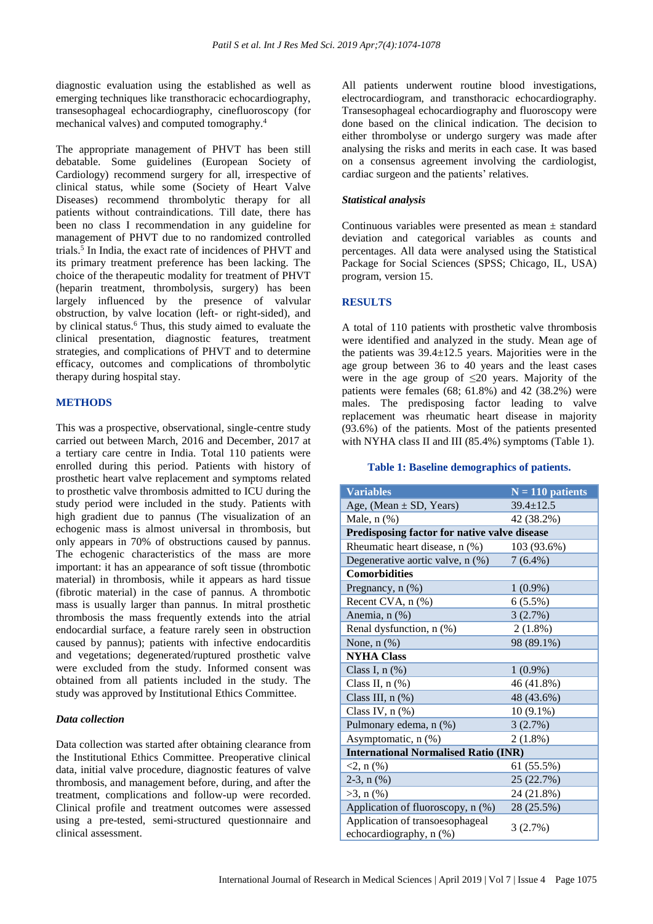diagnostic evaluation using the established as well as emerging techniques like transthoracic echocardiography, transesophageal echocardiography, cinefluoroscopy (for mechanical valves) and computed tomography. 4

The appropriate management of PHVT has been still debatable. Some guidelines (European Society of Cardiology) recommend surgery for all, irrespective of clinical status, while some (Society of Heart Valve Diseases) recommend thrombolytic therapy for all patients without contraindications. Till date, there has been no class I recommendation in any guideline for management of PHVT due to no randomized controlled trials. 5 In India, the exact rate of incidences of PHVT and its primary treatment preference has been lacking. The choice of the therapeutic modality for treatment of PHVT (heparin treatment, thrombolysis, surgery) has been largely influenced by the presence of valvular obstruction, by valve location (left- or right-sided), and by clinical status. <sup>6</sup> Thus, this study aimed to evaluate the clinical presentation, diagnostic features, treatment strategies, and complications of PHVT and to determine efficacy, outcomes and complications of thrombolytic therapy during hospital stay.

#### **METHODS**

This was a prospective, observational, single-centre study carried out between March, 2016 and December, 2017 at a tertiary care centre in India. Total 110 patients were enrolled during this period. Patients with history of prosthetic heart valve replacement and symptoms related to prosthetic valve thrombosis admitted to ICU during the study period were included in the study. Patients with high gradient due to pannus (The visualization of an echogenic mass is almost universal in thrombosis, but only appears in 70% of obstructions caused by pannus. The echogenic characteristics of the mass are more important: it has an appearance of soft tissue (thrombotic material) in thrombosis, while it appears as hard tissue (fibrotic material) in the case of pannus. A thrombotic mass is usually larger than pannus. In mitral prosthetic thrombosis the mass frequently extends into the atrial endocardial surface, a feature rarely seen in obstruction caused by pannus); patients with infective endocarditis and vegetations; degenerated/ruptured prosthetic valve were excluded from the study. Informed consent was obtained from all patients included in the study. The study was approved by Institutional Ethics Committee.

#### *Data collection*

Data collection was started after obtaining clearance from the Institutional Ethics Committee. Preoperative clinical data, initial valve procedure, diagnostic features of valve thrombosis, and management before, during, and after the treatment, complications and follow-up were recorded. Clinical profile and treatment outcomes were assessed using a pre-tested, semi-structured questionnaire and clinical assessment.

All patients underwent routine blood investigations, electrocardiogram, and transthoracic echocardiography. Transesophageal echocardiography and fluoroscopy were done based on the clinical indication. The decision to either thrombolyse or undergo surgery was made after analysing the risks and merits in each case. It was based on a consensus agreement involving the cardiologist, cardiac surgeon and the patients' relatives.

#### *Statistical analysis*

Continuous variables were presented as mean ± standard deviation and categorical variables as counts and percentages. All data were analysed using the Statistical Package for Social Sciences (SPSS; Chicago, IL, USA) program, version 15.

#### **RESULTS**

A total of 110 patients with prosthetic valve thrombosis were identified and analyzed in the study. Mean age of the patients was  $39.4 \pm 12.5$  years. Majorities were in the age group between 36 to 40 years and the least cases were in the age group of  $\leq 20$  years. Majority of the patients were females  $(68; 61.8\%)$  and  $42$   $(38.2\%)$  were males. The predisposing factor leading to valve replacement was rheumatic heart disease in majority (93.6%) of the patients. Most of the patients presented with NYHA class II and III (85.4%) symptoms (Table 1).

#### **Table 1: Baseline demographics of patients.**

| <b>Variables</b>                                           | $N = 110$ patients |  |  |  |
|------------------------------------------------------------|--------------------|--|--|--|
| Age, (Mean $\pm$ SD, Years)                                | $39.4 \pm 12.5$    |  |  |  |
| Male, $n$ $(\%)$                                           | 42 (38.2%)         |  |  |  |
| Predisposing factor for native valve disease               |                    |  |  |  |
| Rheumatic heart disease, n (%)                             | 103 (93.6%)        |  |  |  |
| Degenerative aortic valve, n (%)                           | $7(6.4\%)$         |  |  |  |
| <b>Comorbidities</b>                                       |                    |  |  |  |
| Pregnancy, n (%)                                           | $1(0.9\%)$         |  |  |  |
| Recent CVA, n (%)                                          | 6(5.5%)            |  |  |  |
| Anemia, n (%)                                              | 3(2.7%)            |  |  |  |
| Renal dysfunction, n (%)                                   | $2(1.8\%)$         |  |  |  |
| None, $n$ $(\%)$                                           | 98 (89.1%)         |  |  |  |
| <b>NYHA Class</b>                                          |                    |  |  |  |
| Class I, $n$ $(\%)$                                        | $1(0.9\%)$         |  |  |  |
| Class II, $n$ $(\%)$                                       | 46 (41.8%)         |  |  |  |
| Class III, $n$ $(\%)$                                      | 48 (43.6%)         |  |  |  |
| Class IV, $n$ $(\%)$                                       | $10(9.1\%)$        |  |  |  |
| Pulmonary edema, n (%)                                     | 3(2.7%)            |  |  |  |
| Asymptomatic, n (%)                                        | 2(1.8%)            |  |  |  |
| <b>International Normalised Ratio (INR)</b>                |                    |  |  |  |
| $2, n$ (%)                                                 | 61 (55.5%)         |  |  |  |
| 2-3, $n$ $(\%)$                                            | 25 (22.7%)         |  |  |  |
| $>3$ , n $(\%)$                                            | 24 (21.8%)         |  |  |  |
| Application of fluoroscopy, n (%)                          | 28 (25.5%)         |  |  |  |
| Application of transoesophageal<br>echocardiography, n (%) | 3(2.7%)            |  |  |  |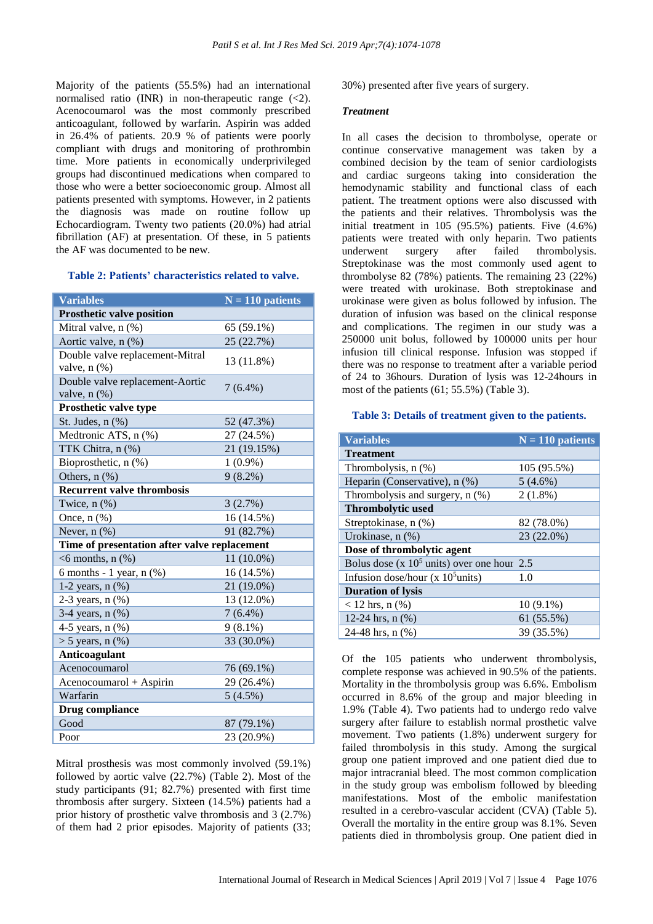Majority of the patients (55.5%) had an international normalised ratio (INR) in non-therapeutic range  $(\leq 2)$ . Acenocoumarol was the most commonly prescribed anticoagulant, followed by warfarin. Aspirin was added in 26.4% of patients. 20.9 % of patients were poorly compliant with drugs and monitoring of prothrombin time. More patients in economically underprivileged groups had discontinued medications when compared to those who were a better socioeconomic group. Almost all patients presented with symptoms. However, in 2 patients the diagnosis was made on routine follow up Echocardiogram. Twenty two patients (20.0%) had atrial fibrillation (AF) at presentation. Of these, in 5 patients the AF was documented to be new.

### **Table 2: Patients' characteristics related to valve.**

| <b>Variables</b>                             | $N = 110$ patients |  |  |  |
|----------------------------------------------|--------------------|--|--|--|
| <b>Prosthetic valve position</b>             |                    |  |  |  |
| Mitral valve, n (%)                          | 65 (59.1%)         |  |  |  |
| Aortic valve, n (%)                          | 25 (22.7%)         |  |  |  |
| Double valve replacement-Mitral              | 13 (11.8%)         |  |  |  |
| valve, $n$ $(\%)$                            |                    |  |  |  |
| Double valve replacement-Aortic              | $7(6.4\%)$         |  |  |  |
| valve, $n$ $(\%)$                            |                    |  |  |  |
| Prosthetic valve type                        |                    |  |  |  |
| St. Judes, n (%)                             | 52 (47.3%)         |  |  |  |
| Medtronic ATS, n (%)                         | 27 (24.5%)         |  |  |  |
| TTK Chitra, n (%)                            | 21 (19.15%)        |  |  |  |
| Bioprosthetic, n (%)                         | $1(0.9\%)$         |  |  |  |
| Others, $n$ $%$                              | $9(8.2\%)$         |  |  |  |
| <b>Recurrent valve thrombosis</b>            |                    |  |  |  |
| Twice, $n$ $%$                               | 3(2.7%)            |  |  |  |
| Once, $n$ $(\%)$                             | 16 (14.5%)         |  |  |  |
| Never, $n$ $(\%)$                            | 91 (82.7%)         |  |  |  |
| Time of presentation after valve replacement |                    |  |  |  |
| $<$ 6 months, n $(\%)$                       | 11 (10.0%)         |  |  |  |
| 6 months - 1 year, $n$ $(\%)$                | 16 (14.5%)         |  |  |  |
| 1-2 years, $n$ $(\%)$                        | 21 (19.0%)         |  |  |  |
| 2-3 years, $n$ $%$                           | 13 (12.0%)         |  |  |  |
| 3-4 years, n (%)                             | $7(6.4\%)$         |  |  |  |
| 4-5 years, $n$ $(\%)$                        | $9(8.1\%)$         |  |  |  |
| $> 5$ years, n $(\%)$                        | 33 (30.0%)         |  |  |  |
| <b>Anticoagulant</b>                         |                    |  |  |  |
| Acenocoumarol                                | 76 (69.1%)         |  |  |  |
| Acenocoumarol + Aspirin                      | 29 (26.4%)         |  |  |  |
| Warfarin                                     | 5(4.5%)            |  |  |  |
| Drug compliance                              |                    |  |  |  |
| Good                                         | 87 (79.1%)         |  |  |  |
| Poor                                         | 23 (20.9%)         |  |  |  |

Mitral prosthesis was most commonly involved (59.1%) followed by aortic valve (22.7%) (Table 2). Most of the study participants (91; 82.7%) presented with first time thrombosis after surgery. Sixteen (14.5%) patients had a prior history of prosthetic valve thrombosis and 3 (2.7%) of them had 2 prior episodes. Majority of patients (33; 30%) presented after five years of surgery.

#### *Treatment*

In all cases the decision to thrombolyse, operate or continue conservative management was taken by a combined decision by the team of senior cardiologists and cardiac surgeons taking into consideration the hemodynamic stability and functional class of each patient. The treatment options were also discussed with the patients and their relatives. Thrombolysis was the initial treatment in 105 (95.5%) patients. Five (4.6%) patients were treated with only heparin. Two patients underwent surgery after failed thrombolysis. Streptokinase was the most commonly used agent to thrombolyse 82 (78%) patients. The remaining 23 (22%) were treated with urokinase. Both streptokinase and urokinase were given as bolus followed by infusion. The duration of infusion was based on the clinical response and complications. The regimen in our study was a 250000 unit bolus, followed by 100000 units per hour infusion till clinical response. Infusion was stopped if there was no response to treatment after a variable period of 24 to 36hours. Duration of lysis was 12-24hours in most of the patients (61; 55.5%) (Table 3).

#### **Table 3: Details of treatment given to the patients.**

| <b>Variables</b>                             | $N = 110$ patients |
|----------------------------------------------|--------------------|
| <b>Treatment</b>                             |                    |
| Thrombolysis, $n$ $(\%)$                     | 105 (95.5%)        |
| Heparin (Conservative), n (%)                | $5(4.6\%)$         |
| Thrombolysis and surgery, n (%)              | $2(1.8\%)$         |
| <b>Thrombolytic used</b>                     |                    |
| Streptokinase, n (%)                         | 82 (78.0%)         |
| Urokinase, $n$ $(\%)$                        | 23 (22.0%)         |
| Dose of thrombolytic agent                   |                    |
| Bolus dose (x $105$ units) over one hour 2.5 |                    |
| Infusion dose/hour $(x 10^5$ units)          | 1.0                |
| <b>Duration of lysis</b>                     |                    |
| $< 12$ hrs, n $(\% )$                        | $10(9.1\%)$        |
| 12-24 hrs, $n$ $(\%)$                        | 61 (55.5%)         |
| 24-48 hrs, n (%)                             | 39 (35.5%)         |

Of the 105 patients who underwent thrombolysis, complete response was achieved in 90.5% of the patients. Mortality in the thrombolysis group was 6.6%. Embolism occurred in 8.6% of the group and major bleeding in 1.9% (Table 4). Two patients had to undergo redo valve surgery after failure to establish normal prosthetic valve movement. Two patients (1.8%) underwent surgery for failed thrombolysis in this study. Among the surgical group one patient improved and one patient died due to major intracranial bleed. The most common complication in the study group was embolism followed by bleeding manifestations. Most of the embolic manifestation resulted in a cerebro-vascular accident (CVA) (Table 5). Overall the mortality in the entire group was 8.1%. Seven patients died in thrombolysis group. One patient died in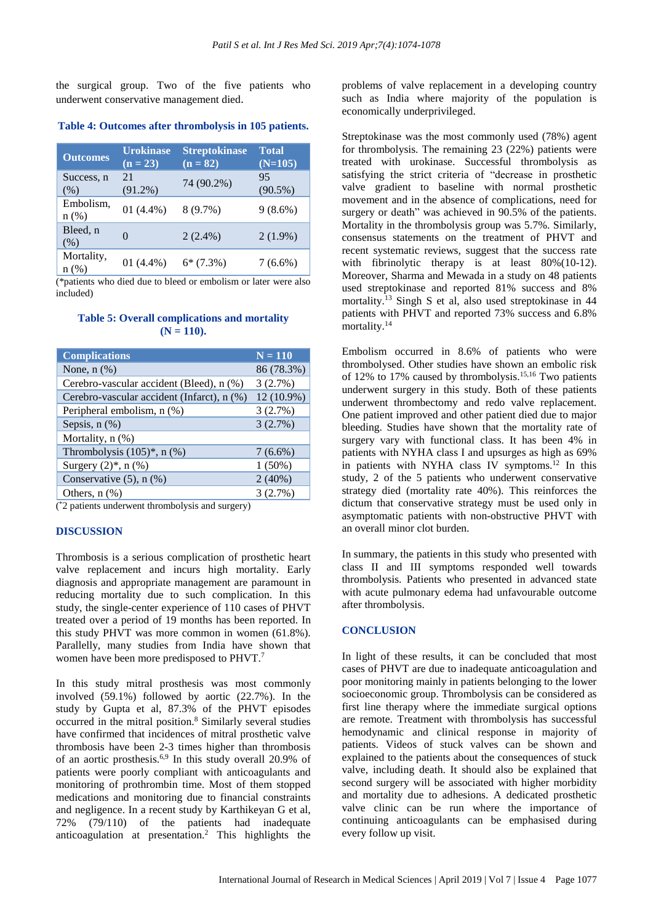the surgical group. Two of the five patients who underwent conservative management died.

## **Table 4: Outcomes after thrombolysis in 105 patients.**

| <b>Outcomes</b>      | <b>Urokinase</b><br>$(n = 23)$ | <b>Streptokinase</b><br>$(n = 82)$ | <b>Total</b><br>$(N=105)$ |
|----------------------|--------------------------------|------------------------------------|---------------------------|
| Success, n<br>(% )   | 2.1<br>$(91.2\%)$              | 74 (90.2%)                         | 95<br>$(90.5\%)$          |
| Embolism,<br>$n$ (%) | 01 $(4.4\%)$                   | $8(9.7\%)$                         | $9(8.6\%)$                |
| Bleed, n<br>(% )     | $\left( \right)$               | $2(2.4\%)$                         | $2(1.9\%)$                |
| Mortality,<br>n(%)   | 01 $(4.4\%)$                   | $6*(7.3%)$                         | $7(6.6\%)$                |

(\*patients who died due to bleed or embolism or later were also included)

#### **Table 5: Overall complications and mortality**   $(N = 110)$ .

| <b>Complications</b>                       | $N = 110$  |
|--------------------------------------------|------------|
| None, $n$ $(\%)$                           | 86 (78.3%) |
| Cerebro-vascular accident (Bleed), n (%)   | 3(2.7%)    |
| Cerebro-vascular accident (Infarct), n (%) | 12 (10.9%) |
| Peripheral embolism, n (%)                 | 3(2.7%)    |
| Sepsis, $n$ $(\%)$                         | 3(2.7%)    |
| Mortality, n (%)                           |            |
| Thrombolysis $(105)^*$ , n $(\%)$          | $7(6.6\%)$ |
| Surgery $(2)^*$ , n $(\%)$                 | $1(50\%)$  |
| Conservative $(5)$ , n $(\%)$              | 2(40%)     |
| Others, $n$ $(\%)$                         | 3(2.7%)    |

( \*2 patients underwent thrombolysis and surgery)

#### **DISCUSSION**

Thrombosis is a serious complication of prosthetic heart valve replacement and incurs high mortality. Early diagnosis and appropriate management are paramount in reducing mortality due to such complication. In this study, the single-center experience of 110 cases of PHVT treated over a period of 19 months has been reported. In this study PHVT was more common in women (61.8%). Parallelly, many studies from India have shown that women have been more predisposed to PHVT. 7

In this study mitral prosthesis was most commonly involved (59.1%) followed by aortic (22.7%). In the study by Gupta et al, 87.3% of the PHVT episodes occurred in the mitral position. <sup>8</sup> Similarly several studies have confirmed that incidences of mitral prosthetic valve thrombosis have been 2-3 times higher than thrombosis of an aortic prosthesis.6,9 In this study overall 20.9% of patients were poorly compliant with anticoagulants and monitoring of prothrombin time. Most of them stopped medications and monitoring due to financial constraints and negligence. In a recent study by Karthikeyan G et al, 72% (79/110) of the patients had inadequate anticoagulation at presentation. <sup>2</sup> This highlights the

problems of valve replacement in a developing country such as India where majority of the population is economically underprivileged.

Streptokinase was the most commonly used (78%) agent for thrombolysis. The remaining 23 (22%) patients were treated with urokinase. Successful thrombolysis as satisfying the strict criteria of "decrease in prosthetic valve gradient to baseline with normal prosthetic movement and in the absence of complications, need for surgery or death" was achieved in 90.5% of the patients. Mortality in the thrombolysis group was 5.7%. Similarly, consensus statements on the treatment of PHVT and recent systematic reviews, suggest that the success rate with fibrinolytic therapy is at least 80%(10-12). Moreover, Sharma and Mewada in a study on 48 patients used streptokinase and reported 81% success and 8% mortality. <sup>13</sup> Singh S et al, also used streptokinase in 44 patients with PHVT and reported 73% success and 6.8% mortality. 14

Embolism occurred in 8.6% of patients who were thrombolysed. Other studies have shown an embolic risk of 12% to 17% caused by thrombolysis. 15,16 Two patients underwent surgery in this study. Both of these patients underwent thrombectomy and redo valve replacement. One patient improved and other patient died due to major bleeding. Studies have shown that the mortality rate of surgery vary with functional class. It has been 4% in patients with NYHA class I and upsurges as high as 69% in patients with NYHA class IV symptoms. <sup>12</sup> In this study, 2 of the 5 patients who underwent conservative strategy died (mortality rate 40%). This reinforces the dictum that conservative strategy must be used only in asymptomatic patients with non-obstructive PHVT with an overall minor clot burden.

In summary, the patients in this study who presented with class II and III symptoms responded well towards thrombolysis. Patients who presented in advanced state with acute pulmonary edema had unfavourable outcome after thrombolysis.

#### **CONCLUSION**

In light of these results, it can be concluded that most cases of PHVT are due to inadequate anticoagulation and poor monitoring mainly in patients belonging to the lower socioeconomic group. Thrombolysis can be considered as first line therapy where the immediate surgical options are remote. Treatment with thrombolysis has successful hemodynamic and clinical response in majority of patients. Videos of stuck valves can be shown and explained to the patients about the consequences of stuck valve, including death. It should also be explained that second surgery will be associated with higher morbidity and mortality due to adhesions. A dedicated prosthetic valve clinic can be run where the importance of continuing anticoagulants can be emphasised during every follow up visit.